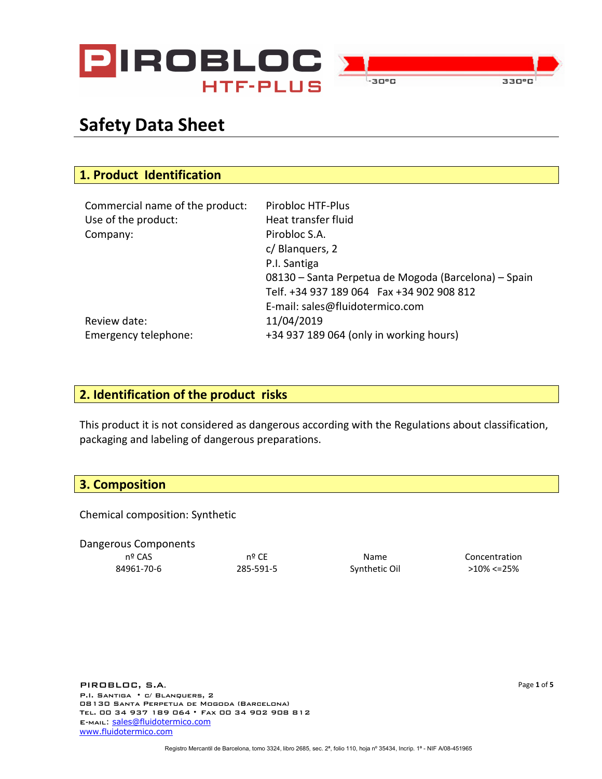

## **Safety Data Sheet**

| 1. Product Identification       |                                                      |
|---------------------------------|------------------------------------------------------|
|                                 |                                                      |
| Commercial name of the product: | Pirobloc HTF-Plus                                    |
| Use of the product:             | Heat transfer fluid                                  |
| Company:                        | Pirobloc S.A.                                        |
|                                 | c/ Blanguers, 2                                      |
|                                 | P.I. Santiga                                         |
|                                 | 08130 – Santa Perpetua de Mogoda (Barcelona) – Spain |
|                                 | Telf. +34 937 189 064  Fax +34 902 908 812           |
|                                 | E-mail: sales@fluidotermico.com                      |
| Review date:                    | 11/04/2019                                           |
| Emergency telephone:            | +34 937 189 064 (only in working hours)              |

#### **2. Identification of the product risks**

This product it is not considered as dangerous according with the Regulations about classification, packaging and labeling of dangerous preparations.

#### **3. Composition**

Chemical composition: Synthetic

Dangerous Components nº CAS nº CE Name Concentration 84961-70-6 285-591-5 Synthetic Oil >10% <=25%

PIROBLOC, S.A. P.I. Santiga • c/ Blanquers, 2 08130 Santa Perpetua de Mogoda (Barcelona) Tel. 00 34 937 189 064 • Fax 00 34 902 908 812 E-mail: [sales@fluidotermico.com](mailto:sales@fluidotermico.com) [www.fluidotermico.com](http://www.fluidotermico.com/)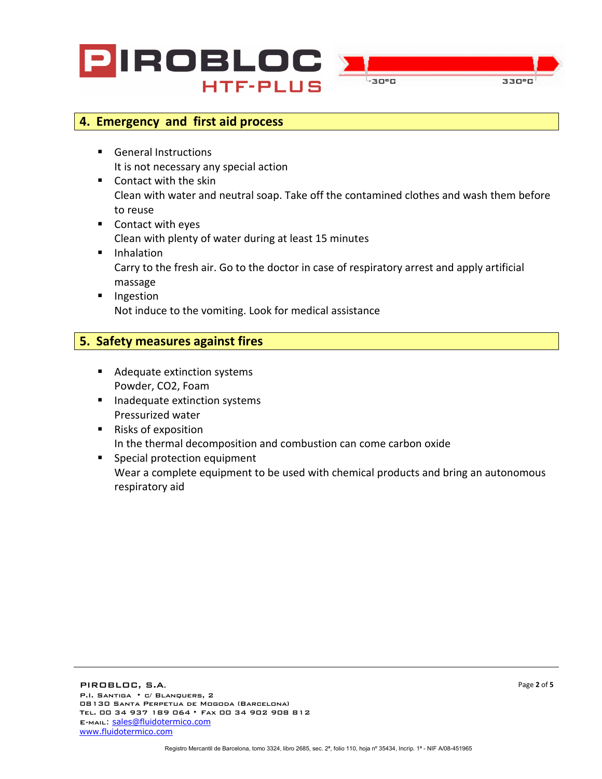



#### **4. Emergency and first aid process**

- **General Instructions** It is not necessary any special action
- Contact with the skin Clean with water and neutral soap. Take off the contamined clothes and wash them before to reuse
- Contact with eyes Clean with plenty of water during at least 15 minutes
- **I** Inhalation Carry to the fresh air. Go to the doctor in case of respiratory arrest and apply artificial massage
- **Ingestion** Not induce to the vomiting. Look for medical assistance

#### **5. Safety measures against fires**

- Adequate extinction systems Powder, CO2, Foam
- **Inadequate extinction systems** Pressurized water
- Risks of exposition In the thermal decomposition and combustion can come carbon oxide
- **Special protection equipment** Wear a complete equipment to be used with chemical products and bring an autonomous respiratory aid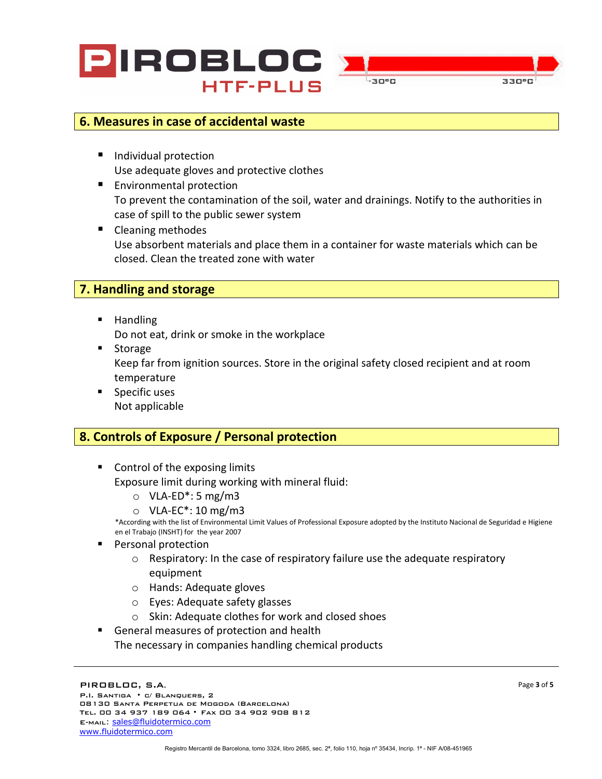



#### **6. Measures in case of accidental waste**

- Individual protection Use adequate gloves and protective clothes
- **Environmental protection** To prevent the contamination of the soil, water and drainings. Notify to the authorities in case of spill to the public sewer system
- Cleaning methodes Use absorbent materials and place them in a container for waste materials which can be closed. Clean the treated zone with water

#### **7. Handling and storage**

**Handling** 

Do not eat, drink or smoke in the workplace

- Storage Keep far from ignition sources. Store in the original safety closed recipient and at room temperature
- **Specific uses** Not applicable

### **8. Controls of Exposure / Personal protection**

- Control of the exposing limits Exposure limit during working with mineral fluid:
	-
	- $\circ$  VLA-ED<sup>\*</sup>: 5 mg/m3<br> $\circ$  VLA-EC<sup>\*</sup>: 10 mg/m3

\*According with the list of Environmental Limit Values of Professional Exposure adopted by the Instituto Nacional de Seguridad e Higiene en el Trabajo (INSHT) for the year 2007

- Personal protection
	- $\circ$  Respiratory: In the case of respiratory failure use the adequate respiratory equipment
	- o Hands: Adequate gloves
	- o Eyes: Adequate safety glasses
	- o Skin: Adequate clothes for work and closed shoes
- General measures of protection and health The necessary in companies handling chemical products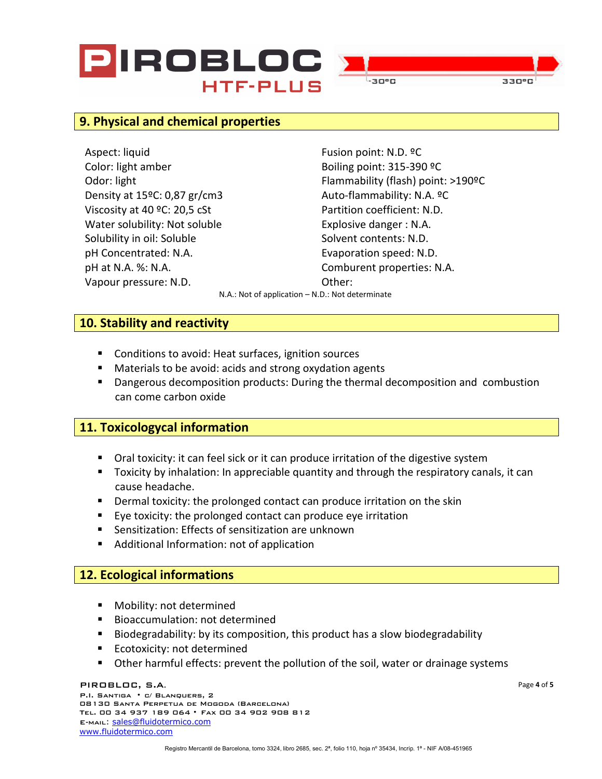# PIROBLOC **HTF-PLUS**



#### **9. Physical and chemical properties**

Aspect: liquid **Fusion point: N.D. ºC** Color: light amber Boiling point: 315-390 °C Density at 15°C: 0,87 gr/cm3 Auto-flammability: N.A. °C Viscosity at 40 °C: 20,5 cSt Partition coefficient: N.D. Water solubility: Not soluble Explosive danger : N.A. Solubility in oil: Soluble Solvent contents: N.D. pH Concentrated: N.A. Evaporation speed: N.D. pH at N.A. %: N.A. Comburent properties: N.A. Vapour pressure: N.D. Changes and Capour pressure: N.D.

Odor: light Flammability (flash) point: >190ºC

N.A.: Not of application – N.D.: Not determinate

#### **10. Stability and reactivity**

- Conditions to avoid: Heat surfaces, ignition sources
- Materials to be avoid: acids and strong oxydation agents
- **Dangerous decomposition products: During the thermal decomposition and combustion** can come carbon oxide

#### **11. Toxicologycal information**

- Oral toxicity: it can feel sick or it can produce irritation of the digestive system
- Toxicity by inhalation: In appreciable quantity and through the respiratory canals, it can cause headache.
- **Dermal toxicity: the prolonged contact can produce irritation on the skin**
- Eye toxicity: the prolonged contact can produce eye irritation
- Sensitization: Effects of sensitization are unknown
- Additional Information: not of application

#### **12. Ecological informations**

- **Nobility: not determined**
- **Bioaccumulation: not determined**
- **Biodegradability: by its composition, this product has a slow biodegradability**
- **Ecotoxicity: not determined**
- Other harmful effects: prevent the pollution of the soil, water or drainage systems

#### PIROBLOC, S.A.

P.I. Santiga • c/ Blanquers, 2 08130 Santa Perpetua de Mogoda (Barcelona) Tel. 00 34 937 189 064 • Fax 00 34 902 908 812 E-mail: [sales@fluidotermico.com](mailto:sales@fluidotermico.com) [www.fluidotermico.com](http://www.fluidotermico.com/)

Page **4** of **5**